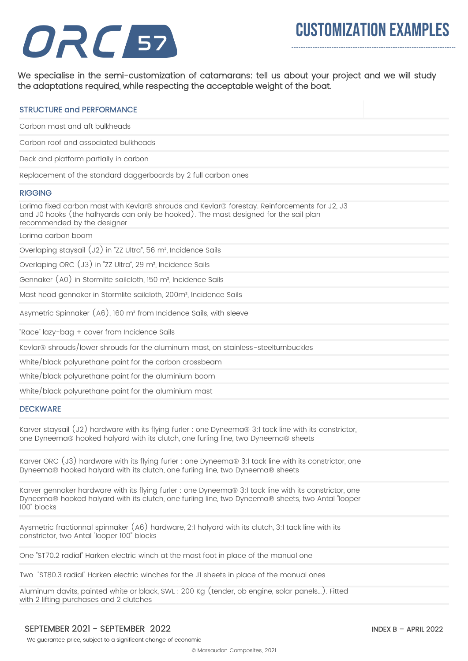## ORC 57

We specialise in the semi-customization of catamarans: tell us about your project and we will study the adaptations required, while respecting the acceptable weight of the boat.

| <b>STRUCTURE and PERFORMANCE</b>                                                                                                                                                                                           |
|----------------------------------------------------------------------------------------------------------------------------------------------------------------------------------------------------------------------------|
| Carbon mast and aft bulkheads                                                                                                                                                                                              |
| Carbon roof and associated bulkheads                                                                                                                                                                                       |
| Deck and platform partially in carbon                                                                                                                                                                                      |
| Replacement of the standard daggerboards by 2 full carbon ones                                                                                                                                                             |
| <b>RIGGING</b>                                                                                                                                                                                                             |
| Lorima fixed carbon mast with Kevlar® shrouds and Kevlar® forestay. Reinforcements for J2, J3<br>and J0 hooks (the halhyards can only be hooked). The mast designed for the sail plan<br>recommended by the designer       |
| Lorima carbon boom                                                                                                                                                                                                         |
| Overlaping staysail (J2) in "ZZ Ultra", 56 m <sup>2</sup> , Incidence Sails                                                                                                                                                |
| Overlaping ORC (J3) in "ZZ Ultra", 29 m <sup>2</sup> , Incidence Sails                                                                                                                                                     |
| Gennaker (A0) in Stormlite sailcloth, 150 m <sup>2</sup> , Incidence Sails                                                                                                                                                 |
| Mast head gennaker in Stormlite sailcloth, 200m <sup>2</sup> , Incidence Sails                                                                                                                                             |
| Asymetric Spinnaker (A6), 160 m <sup>2</sup> from Incidence Sails, with sleeve                                                                                                                                             |
| "Race" lazy-bag + cover from Incidence Sails                                                                                                                                                                               |
| Kevlar® shrouds/lower shrouds for the aluminum mast, on stainless-steelturnbuckles                                                                                                                                         |
| White/black polyurethane paint for the carbon crossbeam                                                                                                                                                                    |
| White/black polyurethane paint for the aluminium boom                                                                                                                                                                      |
| White/black polyurethane paint for the aluminium mast                                                                                                                                                                      |
| <b>DECKWARE</b>                                                                                                                                                                                                            |
| Karver staysail (J2) hardware with its flying furler : one Dyneema® 3:1 tack line with its constrictor,<br>one Dyneema® hooked halyard with its clutch, one furling line, two Dyneema® sheets                              |
| Karver ORC (J3) hardware with its flying furler : one Dyneema® 3:1 tack line with its constrictor, one<br>Dyneema® hooked halyard with its clutch, one furling line, two Dyneema® sheets                                   |
| Karver gennaker hardware with its flying furler : one Dyneema® 3:1 tack line with its constrictor, one<br>Dyneema® hooked halyard with its clutch, one furling line, two Dyneema® sheets, two Antal "looper<br>100" blocks |
| Aysmetric fractionnal spinnaker (A6) hardware, 2:1 halyard with its clutch, 3:1 tack line with its<br>constrictor, two Antal "looper 100" blocks                                                                           |
| One "ST70.2 radial" Harken electric winch at the mast foot in place of the manual one                                                                                                                                      |
| Two "ST80.3 radial" Harken electric winches for the JI sheets in place of the manual ones                                                                                                                                  |
| Aluminum davits, painted white or black, SWL: 200 Kg (tender, ob engine, solar panels). Fitted<br>with 2 lifting purchases and 2 clutches                                                                                  |

We guarantee price, subject to a significant change of economic